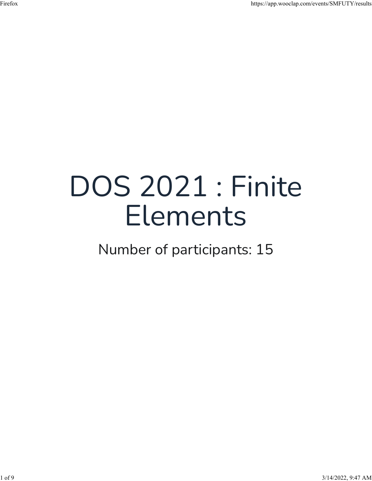## DOS 2021 : Finite Elements

Number of participants: 15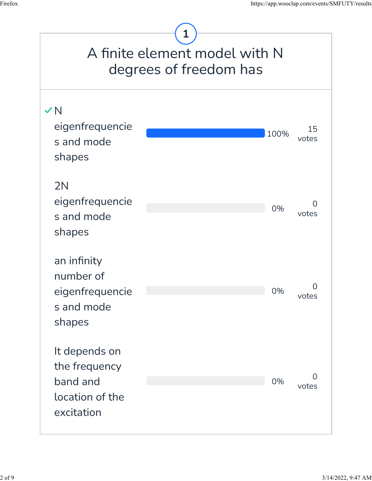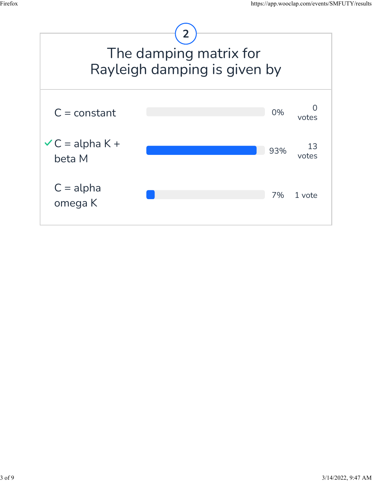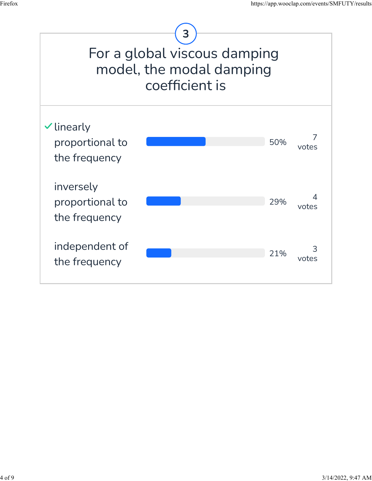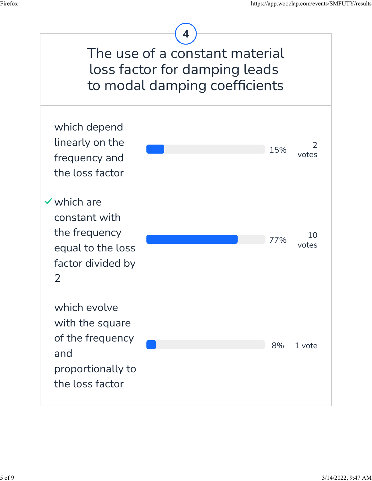

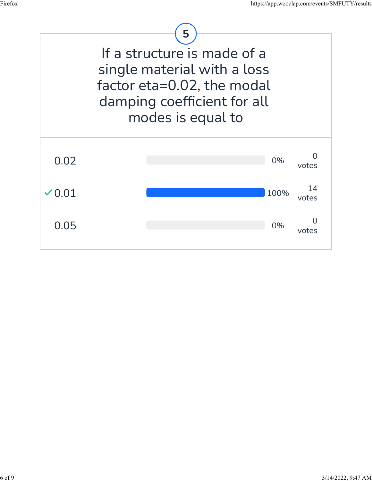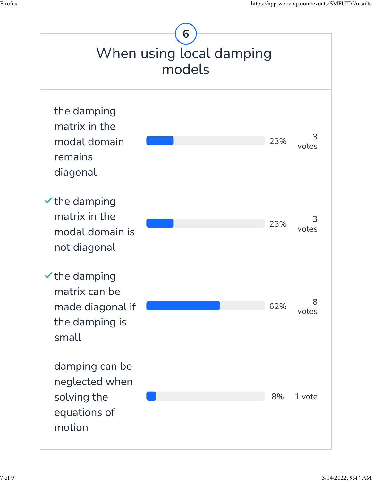